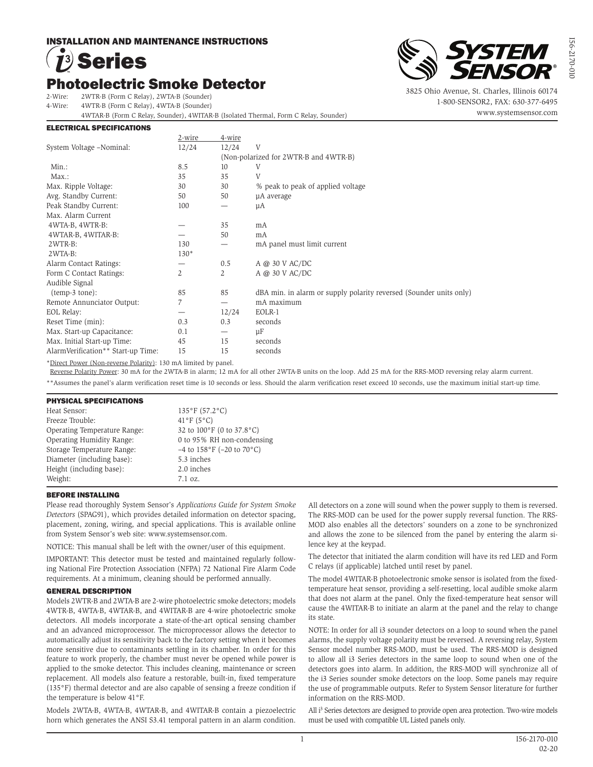# INSTALLATION AND MAINTENANCE INSTRUCTIONS

# **Photoelectric Smoke Detector** Series

2-Wire: 2WTR-B (Form C Relay), 2WTA-B (Sounder)

4-Wire: 4WTR-B (Form C Relay), 4WTA-B (Sounder)

4WTAR-B (Form C Relay, Sounder), 4WITAR-B (Isolated Thermal, Form C Relay, Sounder)

### ELECTRICAL SPECIFICATIONS



3825 Ohio Avenue, St. Charles, Illinois 60174 1-800-SENSOR2, FAX: 630-377-6495 www.systemsensor.com

|                                                                               | 2-wire | 4-wire |                                                                    |
|-------------------------------------------------------------------------------|--------|--------|--------------------------------------------------------------------|
| System Voltage -Nominal:                                                      | 12/24  | 12/24  | V                                                                  |
|                                                                               |        |        | (Non-polarized for 2WTR-B and 4WTR-B)                              |
| $Min.$ :                                                                      | 8.5    | 10     | V                                                                  |
| $Max.$ :                                                                      | 35     | 35     | V                                                                  |
| Max. Ripple Voltage:                                                          | 30     | 30     | % peak to peak of applied voltage                                  |
| Avg. Standby Current:                                                         | 50     | 50     | µA average                                                         |
| Peak Standby Current:                                                         | 100    |        | μA                                                                 |
| Max. Alarm Current                                                            |        |        |                                                                    |
| 4WTA-B, 4WTR-B:                                                               |        | 35     | mA                                                                 |
| 4WTAR-B, 4WITAR-B:                                                            |        | 50     | mA                                                                 |
| 2WTR-B:                                                                       | 130    |        | mA panel must limit current                                        |
| 2WTA-B:                                                                       | $130*$ |        |                                                                    |
| Alarm Contact Ratings:                                                        |        | 0.5    | A @ 30 V AC/DC                                                     |
| Form C Contact Ratings:                                                       | 2      | 2      | A @ 30 V AC/DC                                                     |
| Audible Signal                                                                |        |        |                                                                    |
| $(temp-3 tone):$                                                              | 85     | 85     | dBA min. in alarm or supply polarity reversed (Sounder units only) |
| Remote Annunciator Output:                                                    | 7      |        | mA maximum                                                         |
| EOL Relay:                                                                    |        | 12/24  | EOLR-1                                                             |
| Reset Time (min):                                                             | 0.3    | 0.3    | seconds                                                            |
| Max. Start-up Capacitance:                                                    | 0.1    |        | μF                                                                 |
| Max. Initial Start-up Time:                                                   | 45     | 15     | seconds                                                            |
| AlarmVerification** Start-up Time:                                            | 15     | 15     | seconds                                                            |
| $*$ Dinast Darran (Man narranga Dalamitr): 120 me $\Lambda$ limited by nanal- |        |        |                                                                    |

\*Direct Power (Non-reverse Polarity): 130 mA limited by panel.

Reverse Polarity Power: 30 mA for the 2WTA-B in alarm; 12 mA for all other 2WTA-B units on the loop. Add 25 mA for the RRS-MOD reversing relay alarm current. \*\*Assumes the panel's alarm verification reset time is 10 seconds or less. Should the alarm verification reset exceed 10 seconds, use the maximum initial start-up time.

# PHYSICAL SPECIFICATIONS

| Heat Sensor:                 | $135^{\circ}F(57.2^{\circ}C)$                      |
|------------------------------|----------------------------------------------------|
| Freeze Trouble:              | $41^{\circ}$ F (5°C)                               |
| Operating Temperature Range: | 32 to 100°F (0 to 37.8°C)                          |
| Operating Humidity Range:    | 0 to 95% RH non-condensing                         |
| Storage Temperature Range:   | $-4$ to $158^{\circ}$ F ( $-20$ to $70^{\circ}$ C) |
| Diameter (including base):   | 5.3 inches                                         |
| Height (including base):     | 2.0 inches                                         |
| Weight:                      | $7.1 \text{ oz.}$                                  |

# BEFORE INSTALLING

Please read thoroughly System Sensor's *Applications Guide for System Smoke Detectors* (SPAG91), which provides detailed information on detector spacing, placement, zoning, wiring, and special applications. This is available online from System Sensor's web site: www.systemsensor.com.

NOTICE: This manual shall be left with the owner/user of this equipment.

IMPORTANT: This detector must be tested and maintained regularly following National Fire Protection Association (NFPA) 72 National Fire Alarm Code requirements. At a minimum, cleaning should be performed annually.

# GENERAL DESCRIPTION

Models 2WTR-B and 2WTA-B are 2-wire photoelectric smoke detectors; models 4WTR-B, 4WTA-B, 4WTAR-B, and 4WITAR-B are 4-wire photoelectric smoke detectors. All models incorporate a state-of-the-art optical sensing chamber and an advanced microprocessor. The microprocessor allows the detector to automatically adjust its sensitivity back to the factory setting when it becomes more sensitive due to contaminants settling in its chamber. In order for this feature to work properly, the chamber must never be opened while power is applied to the smoke detector. This includes cleaning, maintenance or screen replacement. All models also feature a restorable, built-in, fixed temperature (135°F) thermal detector and are also capable of sensing a freeze condition if the temperature is below 41°F.

Models 2WTA-B, 4WTA-B, 4WTAR-B, and 4WITAR-B contain a piezoelectric horn which generates the ANSI S3.41 temporal pattern in an alarm condition. All detectors on a zone will sound when the power supply to them is reversed. The RRS-MOD can be used for the power supply reversal function. The RRS-MOD also enables all the detectors' sounders on a zone to be synchronized and allows the zone to be silenced from the panel by entering the alarm silence key at the keypad.

The detector that initiated the alarm condition will have its red LED and Form C relays (if applicable) latched until reset by panel.

The model 4WITAR-B photoelectronic smoke sensor is isolated from the fixedtemperature heat sensor, providing a self-resetting, local audible smoke alarm that does not alarm at the panel. Only the fixed-temperature heat sensor will cause the 4WITAR-B to initiate an alarm at the panel and the relay to change its state.

NOTE: In order for all i3 sounder detectors on a loop to sound when the panel alarms, the supply voltage polarity must be reversed. A reversing relay, System Sensor model number RRS-MOD, must be used. The RRS-MOD is designed to allow all i3 Series detectors in the same loop to sound when one of the detectors goes into alarm. In addition, the RRS-MOD will synchronize all of the i3 Series sounder smoke detectors on the loop. Some panels may require the use of programmable outputs. Refer to System Sensor literature for further information on the RRS-MOD.

All i<sup>3</sup> Series detectors are designed to provide open area protection. Two-wire models must be used with compatible UL Listed panels only.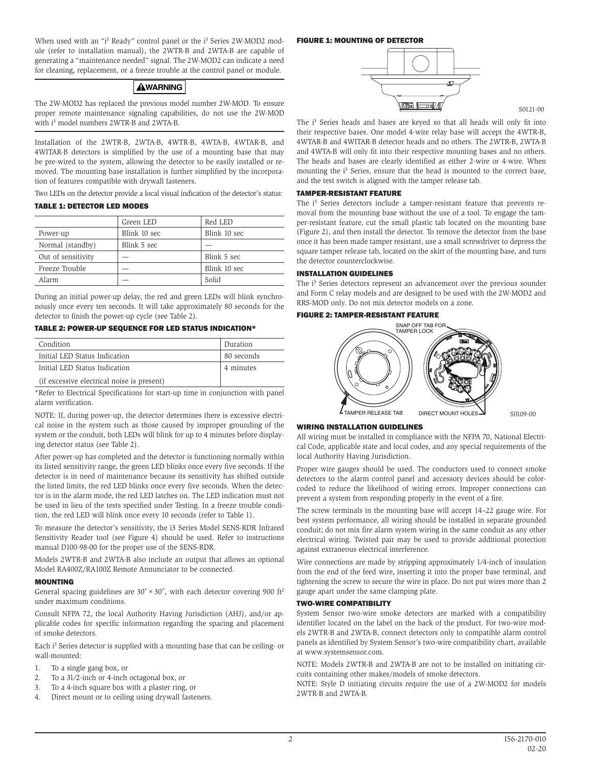When used with an "i<sup>3</sup> Ready" control panel or the i<sup>3</sup> Series 2W-MOD2 module (refer to installation manual), the 2WTR-B and 2WTA-B are capable of generating a "maintenance needed" signal. The 2W-MOD2 can indicate a need for cleaning, replacement, or a freeze trouble at the control panel or module.

# **AWARNING**

The 2W-MOD2 has replaced the previous model number 2W-MOD. To ensure proper remote maintenance signaling capabilities, do not use the 2W-MOD with i 3 model numbers 2WTR-B and 2WTA-B.

Installation of the 2WTR-B, 2WTA-B, 4WTR-B, 4WTA-B, 4WTAR-B, and 4WITAR-B detectors is simplified by the use of a mounting base that may be pre-wired to the system, allowing the detector to be easily installed or removed. The mounting base installation is further simplified by the incorporation of features compatible with drywall fasteners.

Two LEDs on the detector provide a local visual indication of the detector's status:

# TABLE 1: DETECTOR LED MODES

|                    | Green LED    | Red LED      |
|--------------------|--------------|--------------|
| Power-up           | Blink 10 sec | Blink 10 sec |
| Normal (standby)   | Blink 5 sec  |              |
| Out of sensitivity |              | Blink 5 sec  |
| Freeze Trouble     |              | Blink 10 sec |
| Alarm              |              | Solid        |

During an initial power-up delay, the red and green LEDs will blink synchronously once every ten seconds. It will take approximately 80 seconds for the detector to finish the power-up cycle (see Table 2).

TABLE 2: POWER-UP SEQUENCE FOR LED STATUS INDICATION\*

| Condition                                  | Duration   |
|--------------------------------------------|------------|
| Initial LED Status Indication              | 80 seconds |
| Initial LED Status Indication              | 4 minutes  |
| (if excessive electrical noise is present) |            |

\*Refer to Electrical Specifications for start-up time in conjunction with panel alarm verification.

NOTE: If, during power-up, the detector determines there is excessive electrical noise in the system such as those caused by improper grounding of the system or the conduit, both LEDs will blink for up to 4 minutes before displaying detector status (see Table 2).

After power-up has completed and the detector is functioning normally within its listed sensitivity range, the green LED blinks once every five seconds. If the detector is in need of maintenance because its sensitivity has shifted outside the listed limits, the red LED blinks once every five seconds. When the detector is in the alarm mode, the red LED latches on. The LED indication must not be used in lieu of the tests specified under Testing. In a freeze trouble condition, the red LED will blink once every 10 seconds (refer to Table 1).

To measure the detector's sensitivity, the i3 Series Model SENS-RDR Infrared Sensitivity Reader tool (see Figure 4) should be used. Refer to instructions manual D100-98-00 for the proper use of the SENS-RDR.

Models 2WTR-B and 2WTA-B also include an output that allows an optional Model RA400Z/RA100Z Remote Annunciator to be connected.

# **MOUNTING**

General spacing guidelines are  $30'' \times 30''$ , with each detector covering 900 ft<sup>2</sup> under maximum conditions.

Consult NFPA 72, the local Authority Having Jurisdiction (AHJ), and/or applicable codes for specific information regarding the spacing and placement of smoke detectors.

Each i<sup>3</sup> Series detector is supplied with a mounting base that can be ceiling- or wall-mounted:

- 1. To a single gang box, or
- 2. To a 31⁄2-inch or 4-inch octagonal box, or
- 3. To a 4-inch square box with a plaster ring, or
- 4. Direct mount or to ceiling using drywall fasteners.

### FIGURE 1: MOUNTING OF DETECTOR



S0121-00

The i<sup>3</sup> Series heads and bases are keyed so that all heads will only fit into their respective bases. One model 4-wire relay base will accept the 4WTR-B, 4WTAR-B and 4WITAR-B detector heads and no others. The 2WTR-B, 2WTA-B and 4WTA-B will only fit into their respective mounting bases and no others. The heads and bases are clearly identified as either 2-wire or 4-wire. When mounting the i<sup>3</sup> Series, ensure that the head is mounted to the correct base, and the test switch is aligned with the tamper release tab.

# TAMPER-RESISTANT FEATURE

The i<sup>3</sup> Series detectors include a tamper-resistant feature that prevents removal from the mounting base without the use of a tool. To engage the tamper-resistant feature, cut the small plastic tab located on the mounting base (Figure 2), and then install the detector. To remove the detector from the base once it has been made tamper resistant, use a small screwdriver to depress the square tamper release tab, located on the skirt of the mounting base, and turn the detector counterclockwise.

# INSTALLATION GUIDELINES

The i<sup>3</sup> Series detectors represent an advancement over the previous sounder and Form C relay models and are designed to be used with the 2W-MOD2 and RRS-MOD only. Do not mix detector models on a zone.

# FIGURE 2: TAMPER-RESISTANT FEATURE



# WIRING INSTALLATION GUIDELINES

All wiring must be installed in compliance with the NFPA 70, National Electrical Code, applicable state and local codes, and any special requirements of the local Authority Having Jurisdiction.

Proper wire gauges should be used. The conductors used to connect smoke detectors to the alarm control panel and accessory devices should be colorcoded to reduce the likelihood of wiring errors. Improper connections can prevent a system from responding properly in the event of a fire.

The screw terminals in the mounting base will accept 14–22 gauge wire. For best system performance, all wiring should be installed in separate grounded conduit; do not mix fire alarm system wiring in the same conduit as any other electrical wiring. Twisted pair may be used to provide additional protection against extraneous electrical interference.

Wire connections are made by stripping approximately 1⁄4-inch of insulation from the end of the feed wire, inserting it into the proper base terminal, and tightening the screw to secure the wire in place. Do not put wires more than 2 gauge apart under the same clamping plate.

# TWO-WIRE COMPATIBILITY

System Sensor two-wire smoke detectors are marked with a compatibility identifier located on the label on the back of the product. For two-wire models 2WTR-B and 2WTA-B, connect detectors only to compatible alarm control panels as identified by System Sensor's two-wire compatibility chart, available at www.systemsensor.com.

NOTE: Models 2WTR-B and 2WTA-B are not to be installed on initiating circuits containing other makes/models of smoke detectors.

NOTE: Style D initiating circuits require the use of a 2W-MOD2 for models 2WTR-B and 2WTA-B.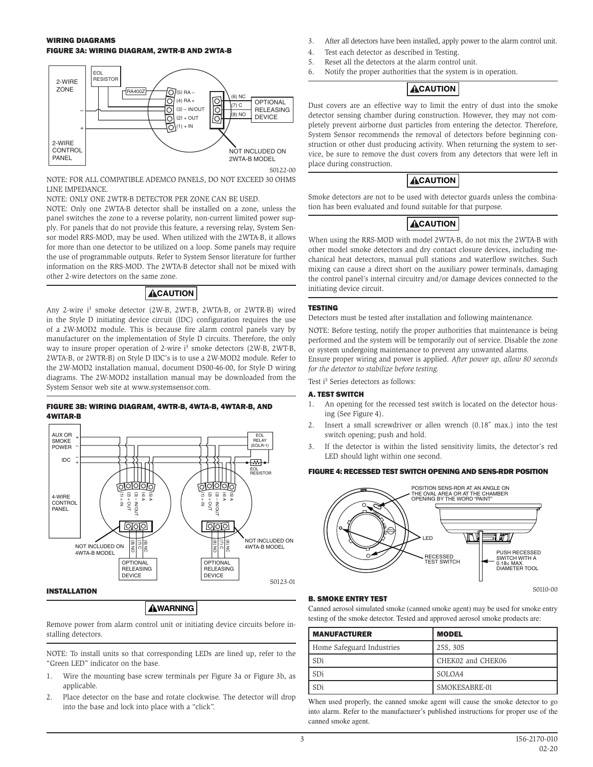# WIRING DIAGRAMS FIGURE 3A: WIRING DIAGRAM, 2WTR-B AND 2WTA-B



NOTE: FOR ALL COMPATIBLE ADEMCO PANELS, DO NOT EXCEED 30 OHMS LINE IMPEDANCE.

NOTE: ONLY ONE 2WTR-B DETECTOR PER ZONE CAN BE USED.

NOTE: Only one 2WTA-B detector shall be installed on a zone, unless the panel switches the zone to a reverse polarity, non-current limited power supply. For panels that do not provide this feature, a reversing relay, System Sensor model RRS-MOD, may be used. When utilized with the 2WTA-B, it allows for more than one detector to be utilized on a loop. Some panels may require the use of programmable outputs. Refer to System Sensor literature for further information on the RRS-MOD. The 2WTA-B detector shall not be mixed with other 2-wire detectors on the same zone.

# **ACAUTION**

Any 2-wire i 3 smoke detector (2W-B, 2WT-B, 2WTA-B, or 2WTR-B) wired in the Style D initiating device circuit (IDC) configuration requires the use of a 2W-MOD2 module. This is because fire alarm control panels vary by manufacturer on the implementation of Style D circuits. Therefore, the only way to insure proper operation of 2-wire i 3 smoke detectors (2W-B, 2WT-B, 2WTA-B, or 2WTR-B) on Style D IDC's is to use a 2W-MOD2 module. Refer to the 2W-MOD2 installation manual, document D500-46-00, for Style D wiring diagrams. The 2W-MOD2 installation manual may be downloaded from the System Sensor web site at www.systemsensor.com.

# FIGURE 3B: WIRING DIAGRAM, 4WTR-B, 4WTA-B, 4WTAR-B, AND 4WITAR-B



# **AWARNING**

Remove power from alarm control unit or initiating device circuits before installing detectors.

NOTE: To install units so that corresponding LEDs are lined up, refer to the "Green LED" indicator on the base.

- 1. Wire the mounting base screw terminals per Figure 3a or Figure 3b, as applicable.
- 2. Place detector on the base and rotate clockwise. The detector will drop into the base and lock into place with a "click".
- 3. After all detectors have been installed, apply power to the alarm control unit.
- 4. Test each detector as described in Testing.
- 5. Reset all the detectors at the alarm control unit.
- 6. Notify the proper authorities that the system is in operation.

# **ACAUTION**

Dust covers are an effective way to limit the entry of dust into the smoke detector sensing chamber during construction. However, they may not completely prevent airborne dust particles from entering the detector. Therefore, System Sensor recommends the removal of detectors before beginning construction or other dust producing activity. When returning the system to service, be sure to remove the dust covers from any detectors that were left in place during construction.

# **ACAUTION**

Smoke detectors are not to be used with detector guards unless the combination has been evaluated and found suitable for that purpose.

# **ACAUTION**

When using the RRS-MOD with model 2WTA-B, do not mix the 2WTA-B with other model smoke detectors and dry contact closure devices, including mechanical heat detectors, manual pull stations and waterflow switches. Such mixing can cause a direct short on the auxiliary power terminals, damaging the control panel's internal circuitry and/or damage devices connected to the initiating device circuit.

# TESTING

Detectors must be tested after installation and following maintenance.

NOTE: Before testing, notify the proper authorities that maintenance is being performed and the system will be temporarily out of service. Disable the zone or system undergoing maintenance to prevent any unwanted alarms.

Ensure proper wiring and power is applied. *After power up, allow 80 seconds for the detector to stabilize before testing.*

Test i 3 Series detectors as follows:

# A. TEST SWITCH

- 1. An opening for the recessed test switch is located on the detector housing (See Figure 4).
- 2. Insert a small screwdriver or allen wrench (0.18˝ max.) into the test switch opening; push and hold.
- 3. If the detector is within the listed sensitivity limits, the detector's red LED should light within one second.

# FIGURE 4: RECESSED TEST SWITCH OPENING AND SENS-RDR POSITION



# B. SMOKE ENTRY TEST

Canned aerosol simulated smoke (canned smoke agent) may be used for smoke entry testing of the smoke detector. Tested and approved aerosol smoke products are:

| <b>MANUFACTURER</b>       | <b>MODEL</b>      |
|---------------------------|-------------------|
| Home Safeguard Industries | 25S, 30S          |
| SDi                       | CHEK02 and CHEK06 |
| SDi                       | SOLOA4            |
| SDi                       | SMOKESABRE-01     |

When used properly, the canned smoke agent will cause the smoke detector to go into alarm. Refer to the manufacturer's published instructions for proper use of the canned smoke agent.